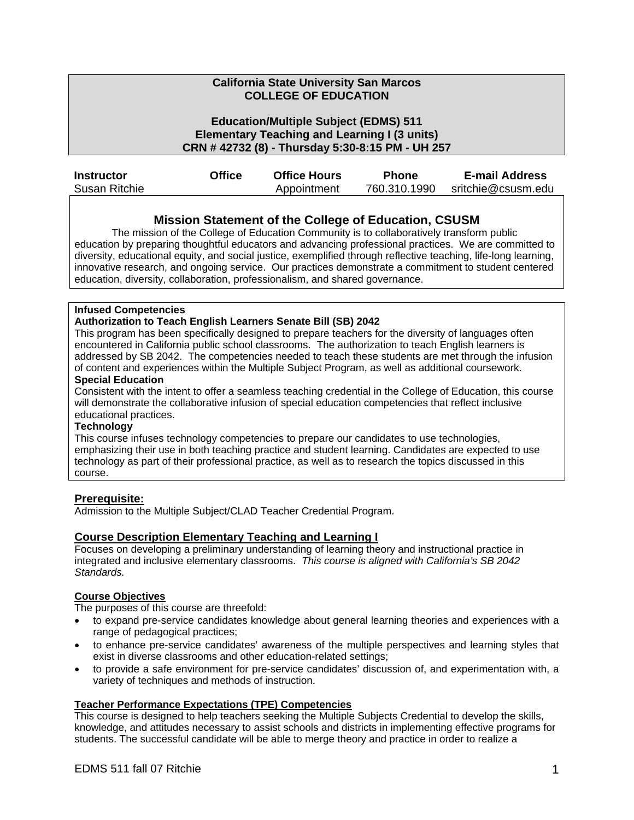#### **California State University San Marcos COLLEGE OF EDUCATION**

#### **Education/Multiple Subject (EDMS) 511 Elementary Teaching and Learning I (3 units) CRN # 42732 (8) - Thursday 5:30-8:15 PM - UH 257**

| <b>Instructor</b> | Office | <b>Office Hours</b> | <b>Phone</b> | <b>E-mail Address</b> |
|-------------------|--------|---------------------|--------------|-----------------------|
| Susan Ritchie     |        | Appointment         | 760.310.1990 | sritchie@csusm.edu    |

#### **Mission Statement of the College of Education, CSUSM**

The mission of the College of Education Community is to collaboratively transform public education by preparing thoughtful educators and advancing professional practices. We are committed to diversity, educational equity, and social justice, exemplified through reflective teaching, life-long learning, innovative research, and ongoing service. Our practices demonstrate a commitment to student centered education, diversity, collaboration, professionalism, and shared governance.

#### **Infused Competencies**

#### **Authorization to Teach English Learners Senate Bill (SB) 2042**

This program has been specifically designed to prepare teachers for the diversity of languages often encountered in California public school classrooms. The authorization to teach English learners is addressed by SB 2042. The competencies needed to teach these students are met through the infusion of content and experiences within the Multiple Subject Program, as well as additional coursework.

#### **Special Education**

Consistent with the intent to offer a seamless teaching credential in the College of Education, this course will demonstrate the collaborative infusion of special education competencies that reflect inclusive educational practices.

#### **Technology**

This course infuses technology competencies to prepare our candidates to use technologies, emphasizing their use in both teaching practice and student learning. Candidates are expected to use technology as part of their professional practice, as well as to research the topics discussed in this course.

#### **Prerequisite:**

Admission to the Multiple Subject/CLAD Teacher Credential Program.

#### **Course Description Elementary Teaching and Learning I**

Focuses on developing a preliminary understanding of learning theory and instructional practice in integrated and inclusive elementary classrooms. *This course is aligned with California's SB 2042 Standards.* 

#### **Course Objectives**

The purposes of this course are threefold:

- to expand pre-service candidates knowledge about general learning theories and experiences with a range of pedagogical practices;
- to enhance pre-service candidates' awareness of the multiple perspectives and learning styles that exist in diverse classrooms and other education-related settings;
- to provide a safe environment for pre-service candidates' discussion of, and experimentation with, a variety of techniques and methods of instruction.

## **Teacher Performance Expectations (TPE) Competencies**

This course is designed to help teachers seeking the Multiple Subjects Credential to develop the skills, knowledge, and attitudes necessary to assist schools and districts in implementing effective programs for students. The successful candidate will be able to merge theory and practice in order to realize a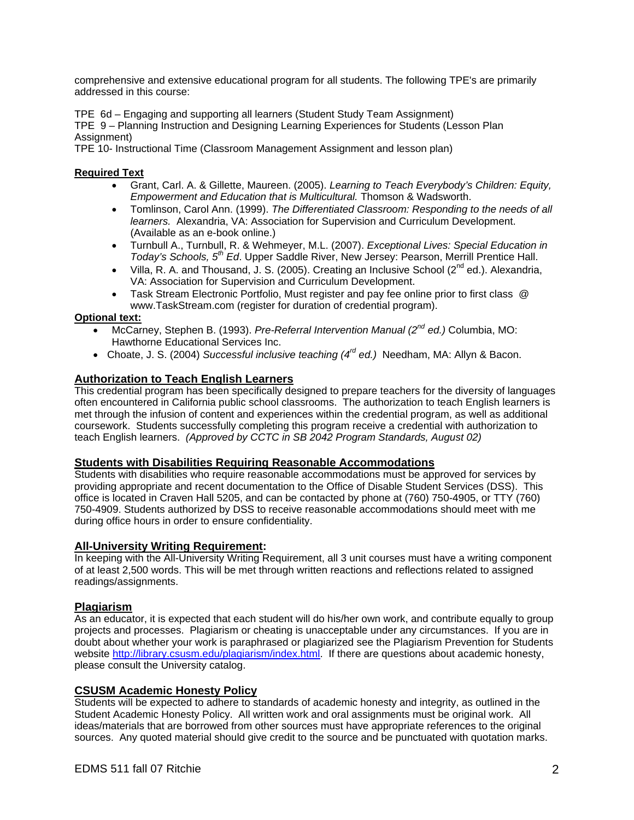comprehensive and extensive educational program for all students. The following TPE's are primarily addressed in this course:

TPE 6d – Engaging and supporting all learners (Student Study Team Assignment)

TPE 9 – Planning Instruction and Designing Learning Experiences for Students (Lesson Plan Assignment)

TPE 10- Instructional Time (Classroom Management Assignment and lesson plan)

#### **Required Text**

- Grant, Carl. A. & Gillette, Maureen. (2005). *Learning to Teach Everybody's Children: Equity, Empowerment and Education that is Multicultural.* Thomson & Wadsworth.
- Tomlinson, Carol Ann. (1999). *The Differentiated Classroom: Responding to the needs of all learners.* Alexandria, VA: Association for Supervision and Curriculum Development. (Available as an e-book online.)
- Turnbull A., Turnbull, R. & Wehmeyer, M.L. (2007). *Exceptional Lives: Special Education in Today's Schools, 5th Ed*. Upper Saddle River, New Jersey: Pearson, Merrill Prentice Hall.
- Villa, R. A. and Thousand, J. S. (2005). Creating an Inclusive School ( $2^{nd}$  ed.). Alexandria, VA: Association for Supervision and Curriculum Development.
- Task Stream Electronic Portfolio, Must register and pay fee online prior to first class @ www.TaskStream.com (register for duration of credential program).

#### **Optional text:**

- McCarney, Stephen B. (1993). *Pre-Referral Intervention Manual (2nd ed.)* Columbia, MO: Hawthorne Educational Services Inc.
- Choate, J. S. (2004) *Successful inclusive teaching (4rd ed.)* Needham, MA: Allyn & Bacon.

### **Authorization to Teach English Learners**

This credential program has been specifically designed to prepare teachers for the diversity of languages often encountered in California public school classrooms. The authorization to teach English learners is met through the infusion of content and experiences within the credential program, as well as additional coursework. Students successfully completing this program receive a credential with authorization to teach English learners. *(Approved by CCTC in SB 2042 Program Standards, August 02)* 

#### **Students with Disabilities Requiring Reasonable Accommodations**

Students with disabilities who require reasonable accommodations must be approved for services by providing appropriate and recent documentation to the Office of Disable Student Services (DSS). This office is located in Craven Hall 5205, and can be contacted by phone at (760) 750-4905, or TTY (760) 750-4909. Students authorized by DSS to receive reasonable accommodations should meet with me during office hours in order to ensure confidentiality.

#### **All-University Writing Requirement:**

In keeping with the All-University Writing Requirement, all 3 unit courses must have a writing component of at least 2,500 words. This will be met through written reactions and reflections related to assigned readings/assignments.

#### **Plagiarism**

As an educator, it is expected that each student will do his/her own work, and contribute equally to group projects and processes. Plagiarism or cheating is unacceptable under any circumstances. If you are in doubt about whether your work is paraphrased or plagiarized see the Plagiarism Prevention for Students website http://library.csusm.edu/plagiarism/index.html. If there are questions about academic honesty, please consult the University catalog.

#### **CSUSM Academic Honesty Policy**

Students will be expected to adhere to standards of academic honesty and integrity, as outlined in the Student Academic Honesty Policy. All written work and oral assignments must be original work. All ideas/materials that are borrowed from other sources must have appropriate references to the original sources. Any quoted material should give credit to the source and be punctuated with quotation marks.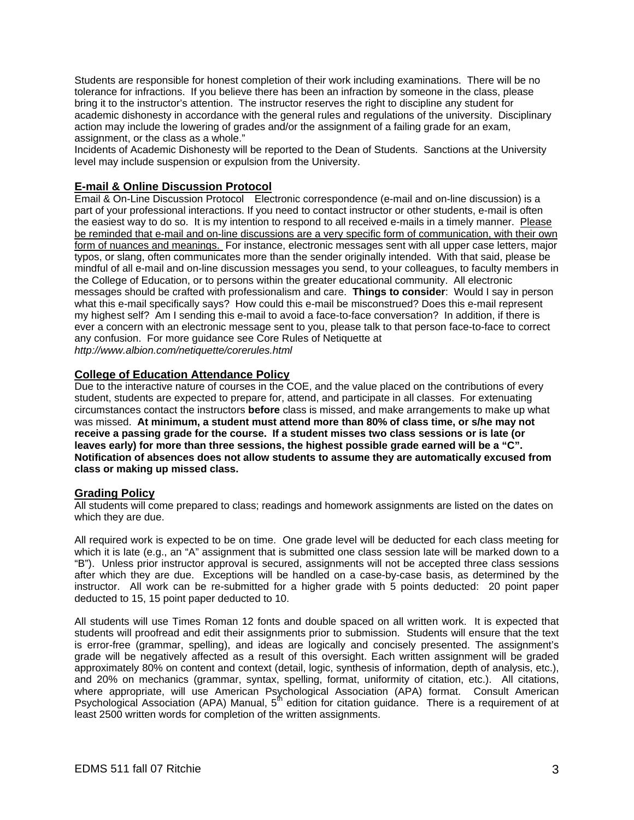Students are responsible for honest completion of their work including examinations. There will be no tolerance for infractions. If you believe there has been an infraction by someone in the class, please bring it to the instructor's attention. The instructor reserves the right to discipline any student for academic dishonesty in accordance with the general rules and regulations of the university. Disciplinary action may include the lowering of grades and/or the assignment of a failing grade for an exam, assignment, or the class as a whole."

Incidents of Academic Dishonesty will be reported to the Dean of Students. Sanctions at the University level may include suspension or expulsion from the University.

#### **E-mail & Online Discussion Protocol**

Email & On-Line Discussion Protocol Electronic correspondence (e-mail and on-line discussion) is a part of your professional interactions. If you need to contact instructor or other students, e-mail is often the easiest way to do so. It is my intention to respond to all received e-mails in a timely manner. Please be reminded that e-mail and on-line discussions are a very specific form of communication, with their own form of nuances and meanings. For instance, electronic messages sent with all upper case letters, major typos, or slang, often communicates more than the sender originally intended. With that said, please be mindful of all e-mail and on-line discussion messages you send, to your colleagues, to faculty members in the College of Education, or to persons within the greater educational community. All electronic messages should be crafted with professionalism and care. **Things to consider**: Would I say in person what this e-mail specifically says? How could this e-mail be misconstrued? Does this e-mail represent my highest self? Am I sending this e-mail to avoid a face-to-face conversation? In addition, if there is ever a concern with an electronic message sent to you, please talk to that person face-to-face to correct any confusion. For more guidance see Core Rules of Netiquette at *http://www.albion.com/netiquette/corerules.html* 

#### **College of Education Attendance Policy**

Due to the interactive nature of courses in the COE, and the value placed on the contributions of every student, students are expected to prepare for, attend, and participate in all classes. For extenuating circumstances contact the instructors **before** class is missed, and make arrangements to make up what was missed. **At minimum, a student must attend more than 80% of class time, or s/he may not receive a passing grade for the course. If a student misses two class sessions or is late (or leaves early) for more than three sessions, the highest possible grade earned will be a "C". Notification of absences does not allow students to assume they are automatically excused from class or making up missed class.** 

#### **Grading Policy**

All students will come prepared to class; readings and homework assignments are listed on the dates on which they are due.

All required work is expected to be on time. One grade level will be deducted for each class meeting for which it is late (e.g., an "A" assignment that is submitted one class session late will be marked down to a "B"). Unless prior instructor approval is secured, assignments will not be accepted three class sessions after which they are due. Exceptions will be handled on a case-by-case basis, as determined by the instructor. All work can be re-submitted for a higher grade with 5 points deducted: 20 point paper deducted to 15, 15 point paper deducted to 10.

All students will use Times Roman 12 fonts and double spaced on all written work. It is expected that students will proofread and edit their assignments prior to submission. Students will ensure that the text is error-free (grammar, spelling), and ideas are logically and concisely presented. The assignment's grade will be negatively affected as a result of this oversight. Each written assignment will be graded approximately 80% on content and context (detail, logic, synthesis of information, depth of analysis, etc.), and 20% on mechanics (grammar, syntax, spelling, format, uniformity of citation, etc.). All citations, where appropriate, will use American Psychological Association (APA) format. Consult American Psychological Association (APA) Manual,  $5<sup>fh</sup>$  edition for citation guidance. There is a requirement of at least 2500 written words for completion of the written assignments.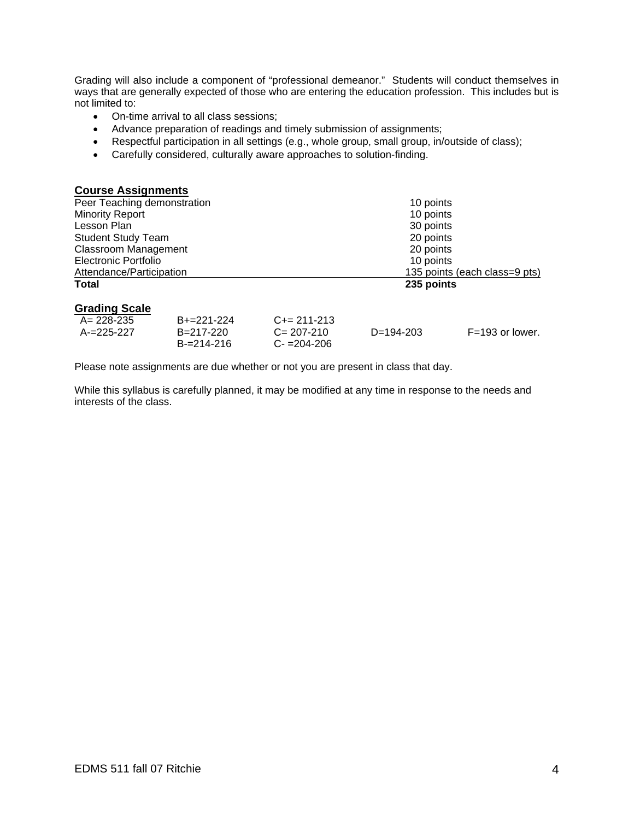Grading will also include a component of "professional demeanor." Students will conduct themselves in ways that are generally expected of those who are entering the education profession. This includes but is not limited to:

- On-time arrival to all class sessions;
- Advance preparation of readings and timely submission of assignments;
- Respectful participation in all settings (e.g., whole group, small group, in/outside of class);
- Carefully considered, culturally aware approaches to solution-finding.

| <b>Course Assignments</b>   |                               |
|-----------------------------|-------------------------------|
| Peer Teaching demonstration | 10 points                     |
| <b>Minority Report</b>      | 10 points                     |
| Lesson Plan                 | 30 points                     |
| <b>Student Study Team</b>   | 20 points                     |
| <b>Classroom Management</b> | 20 points                     |
| Electronic Portfolio        | 10 points                     |
| Attendance/Participation    | 135 points (each class=9 pts) |
| <b>Total</b>                | 235 points                    |
| <b>Grading Scale</b>        |                               |

| A= 228-235 | $B+=221-224$    | $C+= 211-213$   |             |                   |
|------------|-----------------|-----------------|-------------|-------------------|
| A-=225-227 | B=217-220       | $C = 207 - 210$ | $D=194-203$ | $F=193$ or lower. |
|            | $B = 214 - 216$ | $C = 204 - 206$ |             |                   |

Please note assignments are due whether or not you are present in class that day.

While this syllabus is carefully planned, it may be modified at any time in response to the needs and interests of the class.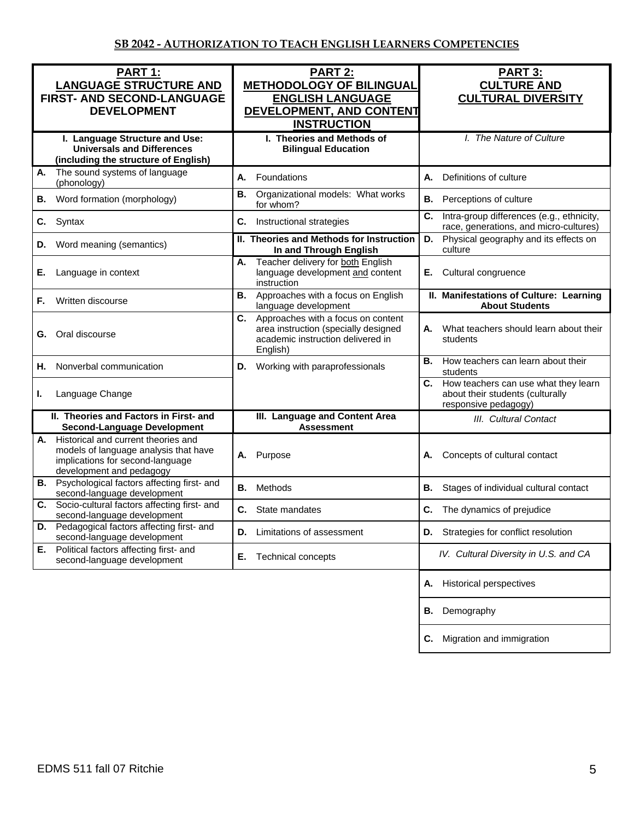| <b>PART 1:</b><br><b>LANGUAGE STRUCTURE AND</b><br>FIRST- AND SECOND-LANGUAGE<br><b>DEVELOPMENT</b>                                                | PART 2:<br><b>METHODOLOGY OF BILINGUAL</b><br><b>ENGLISH LANGUAGE</b><br>DEVELOPMENT, AND CONTENT<br><b>INSTRUCTION</b>           | <b>PART 3:</b><br><b>CULTURE AND</b><br><b>CULTURAL DIVERSITY</b>                                   |
|----------------------------------------------------------------------------------------------------------------------------------------------------|-----------------------------------------------------------------------------------------------------------------------------------|-----------------------------------------------------------------------------------------------------|
| I. Language Structure and Use:<br><b>Universals and Differences</b><br>(including the structure of English)                                        | I. Theories and Methods of<br><b>Bilingual Education</b>                                                                          | I. The Nature of Culture                                                                            |
| The sound systems of language<br>А.<br>(phonology)                                                                                                 | А.<br>Foundations                                                                                                                 | А.<br>Definitions of culture                                                                        |
| Word formation (morphology)<br>В.                                                                                                                  | Organizational models: What works<br><b>B.</b><br>for whom?                                                                       | <b>B.</b><br>Perceptions of culture                                                                 |
| Syntax<br>C.                                                                                                                                       | C.<br>Instructional strategies                                                                                                    | C.<br>Intra-group differences (e.g., ethnicity,<br>race, generations, and micro-cultures)           |
| Word meaning (semantics)<br>D.                                                                                                                     | II. Theories and Methods for Instruction<br>In and Through English                                                                | Physical geography and its effects on<br>D.<br>culture                                              |
| Language in context<br>Е.                                                                                                                          | Teacher delivery for both English<br>А.<br>language development and content<br>instruction                                        | Cultural congruence<br>Е.                                                                           |
| Written discourse<br>F.                                                                                                                            | Approaches with a focus on English<br><b>B.</b><br>language development                                                           | II. Manifestations of Culture: Learning<br><b>About Students</b>                                    |
| Oral discourse<br>G.                                                                                                                               | Approaches with a focus on content<br>C.<br>area instruction (specially designed<br>academic instruction delivered in<br>English) | What teachers should learn about their<br>А.<br>students                                            |
| Nonverbal communication<br>Н.                                                                                                                      | Working with paraprofessionals<br>D.                                                                                              | How teachers can learn about their<br>В.<br>students                                                |
| Language Change<br>ı.                                                                                                                              |                                                                                                                                   | C. How teachers can use what they learn<br>about their students (culturally<br>responsive pedagogy) |
| II. Theories and Factors in First- and<br><b>Second-Language Development</b>                                                                       | III. Language and Content Area<br><b>Assessment</b>                                                                               | III. Cultural Contact                                                                               |
| Historical and current theories and<br>А.<br>models of language analysis that have<br>implications for second-language<br>development and pedagogy | Purpose<br>А.                                                                                                                     | Concepts of cultural contact<br>А.                                                                  |
| <b>B.</b> Psychological factors affecting first- and<br>second-language development                                                                | Methods<br>В.                                                                                                                     | <b>B.</b><br>Stages of individual cultural contact                                                  |
| Socio-cultural factors affecting first- and<br>C.<br>second-language development                                                                   | State mandates<br>С.                                                                                                              | C.<br>The dynamics of prejudice                                                                     |
| Pedagogical factors affecting first- and<br>D.<br>second-language development                                                                      | Limitations of assessment<br>D.                                                                                                   | <b>D.</b> Strategies for conflict resolution                                                        |
| Political factors affecting first- and<br>Е.<br>second-language development                                                                        | Technical concepts<br>Е.                                                                                                          | IV. Cultural Diversity in U.S. and CA                                                               |
|                                                                                                                                                    |                                                                                                                                   | <b>Historical perspectives</b><br>А.                                                                |
|                                                                                                                                                    |                                                                                                                                   | Demography<br>В.                                                                                    |
|                                                                                                                                                    |                                                                                                                                   | Migration and immigration<br>C.                                                                     |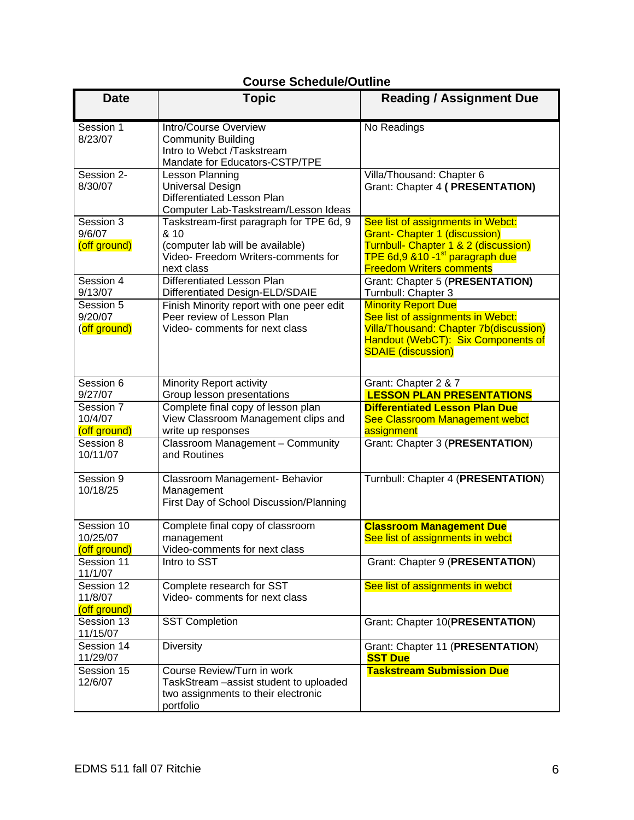## **Course Schedule/Outline**

| <b>Date</b>                            | <b>Topic</b>                                                                                                                              | <b>Reading / Assignment Due</b>                                                                                                                                                                     |
|----------------------------------------|-------------------------------------------------------------------------------------------------------------------------------------------|-----------------------------------------------------------------------------------------------------------------------------------------------------------------------------------------------------|
| Session 1<br>8/23/07                   | Intro/Course Overview<br><b>Community Building</b><br>Intro to Webct /Taskstream<br>Mandate for Educators-CSTP/TPE                        | No Readings                                                                                                                                                                                         |
| Session 2-<br>8/30/07                  | Lesson Planning<br>Universal Design<br>Differentiated Lesson Plan<br>Computer Lab-Taskstream/Lesson Ideas                                 | Villa/Thousand: Chapter 6<br>Grant: Chapter 4 ( PRESENTATION)                                                                                                                                       |
| Session 3<br>9/6/07<br>(off ground)    | Taskstream-first paragraph for TPE 6d, 9<br>& 10<br>(computer lab will be available)<br>Video- Freedom Writers-comments for<br>next class | See list of assignments in Webct:<br><b>Grant- Chapter 1 (discussion)</b><br>Turnbull- Chapter 1 & 2 (discussion)<br>TPE 6d,9 &10 -1 <sup>st</sup> paragraph due<br><b>Freedom Writers comments</b> |
| Session 4<br>9/13/07                   | Differentiated Lesson Plan<br>Differentiated Design-ELD/SDAIE                                                                             | Grant: Chapter 5 (PRESENTATION)<br>Turnbull: Chapter 3                                                                                                                                              |
| Session 5<br>9/20/07<br>(off ground)   | Finish Minority report with one peer edit<br>Peer review of Lesson Plan<br>Video- comments for next class                                 | <b>Minority Report Due</b><br>See list of assignments in Webct:<br>Villa/Thousand: Chapter 7b(discussion)<br>Handout (WebCT): Six Components of<br><b>SDAIE</b> (discussion)                        |
| Session 6<br>9/27/07                   | Minority Report activity<br>Group lesson presentations                                                                                    | Grant: Chapter 2 & 7<br><b>LESSON PLAN PRESENTATIONS</b>                                                                                                                                            |
| Session 7<br>10/4/07<br>(off ground)   | Complete final copy of lesson plan<br>View Classroom Management clips and<br>write up responses                                           | <b>Differentiated Lesson Plan Due</b><br>See Classroom Management webct<br>assignment                                                                                                               |
| Session 8<br>10/11/07                  | Classroom Management - Community<br>and Routines                                                                                          | Grant: Chapter 3 (PRESENTATION)                                                                                                                                                                     |
| Session 9<br>10/18/25                  | Classroom Management- Behavior<br>Management<br>First Day of School Discussion/Planning                                                   | Turnbull: Chapter 4 (PRESENTATION)                                                                                                                                                                  |
| Session 10<br>10/25/07<br>(off ground) | Complete final copy of classroom<br>management<br>Video-comments for next class                                                           | <b>Classroom Management Due</b><br>See list of assignments in webct                                                                                                                                 |
| Session 11<br>11/1/07                  | Intro to SST                                                                                                                              | Grant: Chapter 9 (PRESENTATION)                                                                                                                                                                     |
| Session 12<br>11/8/07<br>(off ground)  | Complete research for SST<br>Video- comments for next class                                                                               | See list of assignments in webct                                                                                                                                                                    |
| Session 13<br>11/15/07                 | <b>SST Completion</b>                                                                                                                     | Grant: Chapter 10(PRESENTATION)                                                                                                                                                                     |
| Session 14<br>11/29/07                 | <b>Diversity</b>                                                                                                                          | Grant: Chapter 11 (PRESENTATION)<br><b>SST Due</b>                                                                                                                                                  |
| Session 15<br>12/6/07                  | Course Review/Turn in work<br>TaskStream - assist student to uploaded<br>two assignments to their electronic<br>portfolio                 | <b>Taskstream Submission Due</b>                                                                                                                                                                    |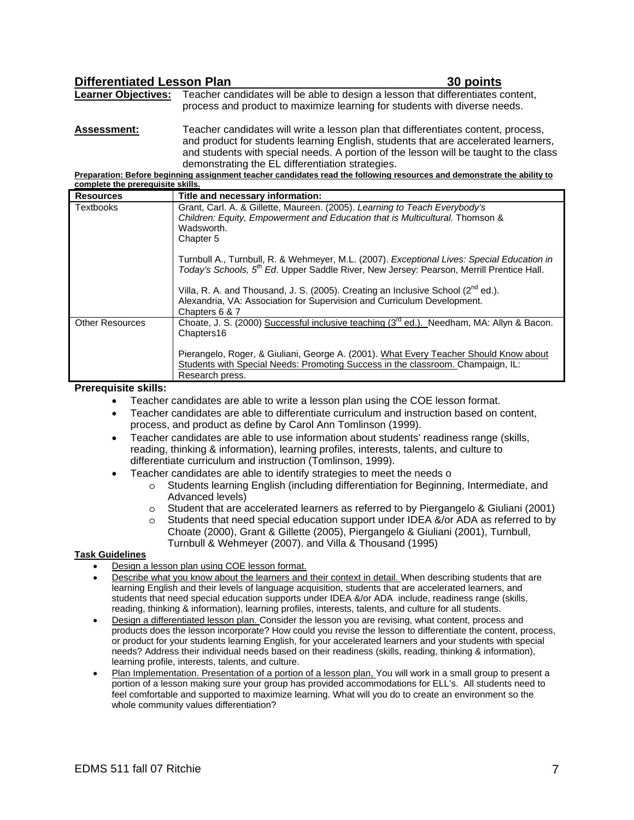| <b>Differentiated Lesson Plan</b> |                                                                                                                | 30 points |
|-----------------------------------|----------------------------------------------------------------------------------------------------------------|-----------|
| <b>Learner Objectives:</b>        | Teacher candidates will be able to design a lesson that differentiates content,                                |           |
|                                   | process and product to maximize learning for students with diverse needs.                                      |           |
| <b>A</b> 1                        | . The state of a state of the contract of the state of the state of the state of the state of the state of the |           |

**Assessment:** Teacher candidates will write a lesson plan that differentiates content, process, and product for students learning English, students that are accelerated learners, and students with special needs. A portion of the lesson will be taught to the class demonstrating the EL differentiation strategies.

**Preparation: Before beginning assignment teacher candidates read the following resources and demonstrate the ability to complete the prerequisite skills.**

| <b>Resources</b>       | Title and necessary information:                                                                                                                                                                          |
|------------------------|-----------------------------------------------------------------------------------------------------------------------------------------------------------------------------------------------------------|
| Textbooks              | Grant, Carl. A. & Gillette, Maureen. (2005). Learning to Teach Everybody's                                                                                                                                |
|                        | Children: Equity, Empowerment and Education that is Multicultural. Thomson &                                                                                                                              |
|                        | Wadsworth.                                                                                                                                                                                                |
|                        | Chapter 5                                                                                                                                                                                                 |
|                        | Turnbull A., Turnbull, R. & Wehmeyer, M.L. (2007). <i>Exceptional Lives: Special Education in</i><br>Today's Schools, 5 <sup>th</sup> Ed. Upper Saddle River, New Jersey: Pearson, Merrill Prentice Hall. |
|                        |                                                                                                                                                                                                           |
|                        | Villa, R. A. and Thousand, J. S. (2005). Creating an Inclusive School ( $2^{nd}$ ed.).                                                                                                                    |
|                        | Alexandria, VA: Association for Supervision and Curriculum Development.                                                                                                                                   |
|                        | Chapters 6 & 7                                                                                                                                                                                            |
| <b>Other Resources</b> | Choate, J. S. (2000) Successful inclusive teaching $(3^{rd}$ ed.). Needham, MA: Allyn & Bacon.<br>Chapters16                                                                                              |
|                        | Pierangelo, Roger, & Giuliani, George A. (2001). What Every Teacher Should Know about                                                                                                                     |
|                        | Students with Special Needs: Promoting Success in the classroom. Champaign, IL:                                                                                                                           |
|                        | Research press.                                                                                                                                                                                           |

**Prerequisite skills:** 

- Teacher candidates are able to write a lesson plan using the COE lesson format.
- Teacher candidates are able to differentiate curriculum and instruction based on content, process, and product as define by Carol Ann Tomlinson (1999).
- Teacher candidates are able to use information about students' readiness range (skills, reading, thinking & information), learning profiles, interests, talents, and culture to differentiate curriculum and instruction (Tomlinson, 1999).
	- Teacher candidates are able to identify strategies to meet the needs o
		- o Students learning English (including differentiation for Beginning, Intermediate, and Advanced levels)
		- o Student that are accelerated learners as referred to by Piergangelo & Giuliani (2001)
		- o Students that need special education support under IDEA &/or ADA as referred to by Choate (2000), Grant & Gillette (2005), Piergangelo & Giuliani (2001), Turnbull, Turnbull & Wehmeyer (2007). and Villa & Thousand (1995)

#### **Task Guidelines**

- Design a lesson plan using COE lesson format.
- Describe what you know about the learners and their context in detail. When describing students that are learning English and their levels of language acquisition, students that are accelerated learners, and students that need special education supports under IDEA &/or ADA include, readiness range (skills, reading, thinking & information), learning profiles, interests, talents, and culture for all students.
- Design a differentiated lesson plan. Consider the lesson you are revising, what content, process and products does the lesson incorporate? How could you revise the lesson to differentiate the content, process, or product for your students learning English, for your accelerated learners and your students with special needs? Address their individual needs based on their readiness (skills, reading, thinking & information), learning profile, interests, talents, and culture.
- Plan Implementation. Presentation of a portion of a lesson plan, You will work in a small group to present a portion of a lesson making sure your group has provided accommodations for ELL's. All students need to feel comfortable and supported to maximize learning. What will you do to create an environment so the whole community values differentiation?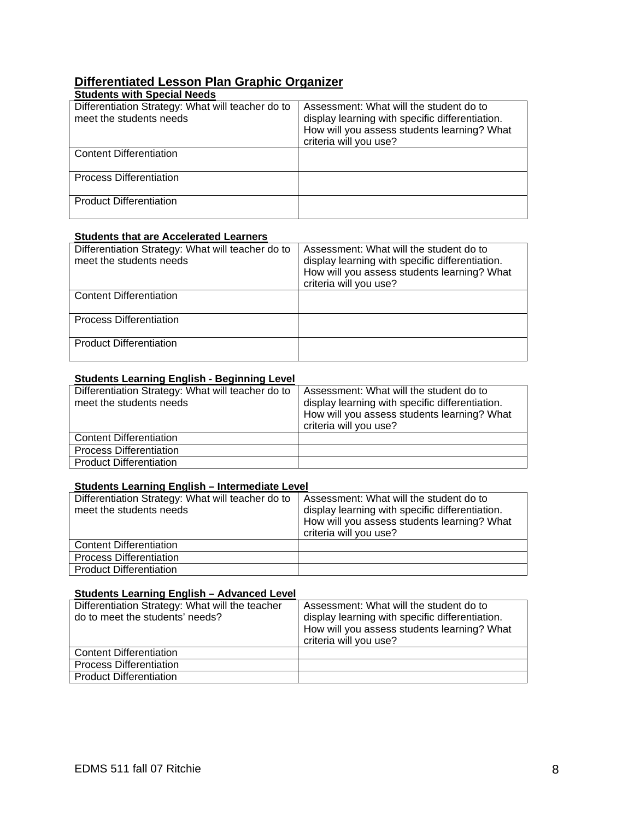# **Differentiated Lesson Plan Graphic Organizer**

| <b>Students with Special Needs</b>                                           |                                                                                                                                                                     |
|------------------------------------------------------------------------------|---------------------------------------------------------------------------------------------------------------------------------------------------------------------|
| Differentiation Strategy: What will teacher do to<br>meet the students needs | Assessment: What will the student do to<br>display learning with specific differentiation.<br>How will you assess students learning? What<br>criteria will you use? |
| <b>Content Differentiation</b>                                               |                                                                                                                                                                     |
| <b>Process Differentiation</b>                                               |                                                                                                                                                                     |
| <b>Product Differentiation</b>                                               |                                                                                                                                                                     |

#### **Students that are Accelerated Learners**

| Differentiation Strategy: What will teacher do to<br>meet the students needs | Assessment: What will the student do to<br>display learning with specific differentiation.<br>How will you assess students learning? What<br>criteria will you use? |
|------------------------------------------------------------------------------|---------------------------------------------------------------------------------------------------------------------------------------------------------------------|
| <b>Content Differentiation</b>                                               |                                                                                                                                                                     |
| <b>Process Differentiation</b>                                               |                                                                                                                                                                     |
| <b>Product Differentiation</b>                                               |                                                                                                                                                                     |

#### **Students Learning English - Beginning Level**

| Differentiation Strategy: What will teacher do to<br>meet the students needs | Assessment: What will the student do to<br>display learning with specific differentiation.<br>How will you assess students learning? What<br>criteria will you use? |
|------------------------------------------------------------------------------|---------------------------------------------------------------------------------------------------------------------------------------------------------------------|
| <b>Content Differentiation</b>                                               |                                                                                                                                                                     |
| <b>Process Differentiation</b>                                               |                                                                                                                                                                     |
| <b>Product Differentiation</b>                                               |                                                                                                                                                                     |

#### **Students Learning English – Intermediate Level**

| Differentiation Strategy: What will teacher do to<br>meet the students needs | Assessment: What will the student do to<br>display learning with specific differentiation.<br>How will you assess students learning? What<br>criteria will you use? |
|------------------------------------------------------------------------------|---------------------------------------------------------------------------------------------------------------------------------------------------------------------|
| <b>Content Differentiation</b>                                               |                                                                                                                                                                     |
| <b>Process Differentiation</b>                                               |                                                                                                                                                                     |
| <b>Product Differentiation</b>                                               |                                                                                                                                                                     |

#### **Students Learning English – Advanced Level**

| Differentiation Strategy: What will the teacher<br>do to meet the students' needs? | Assessment: What will the student do to<br>display learning with specific differentiation.<br>How will you assess students learning? What<br>criteria will you use? |
|------------------------------------------------------------------------------------|---------------------------------------------------------------------------------------------------------------------------------------------------------------------|
| <b>Content Differentiation</b>                                                     |                                                                                                                                                                     |
| <b>Process Differentiation</b>                                                     |                                                                                                                                                                     |
| <b>Product Differentiation</b>                                                     |                                                                                                                                                                     |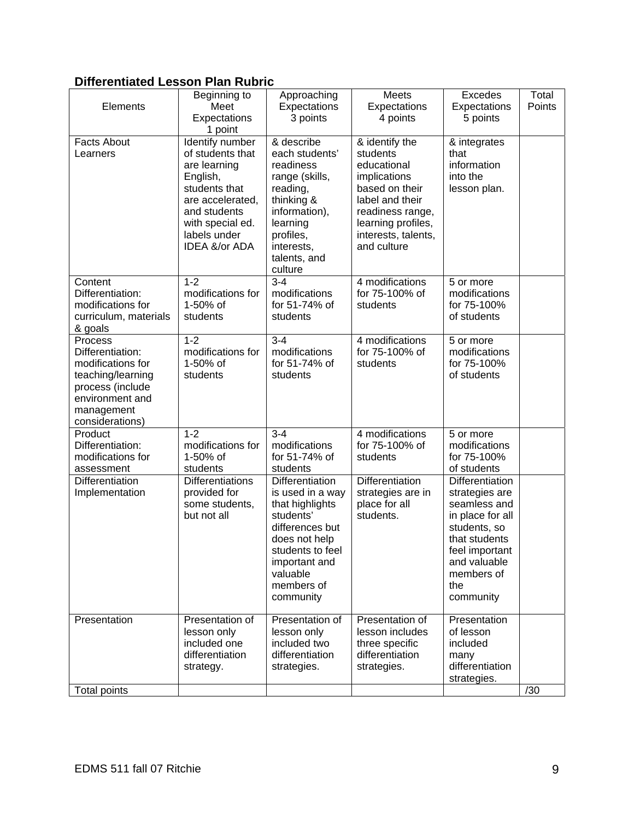## **Differentiated Lesson Plan Rubric**

| Elements                                                                                                                                      | Beginning to<br>Meet<br>Expectations<br>1 point                                                                                                                           | Approaching<br>Expectations<br>3 points                                                                                                                                             | Meets<br>Expectations<br>4 points                                                                                                                                              | <b>Excedes</b><br>Expectations<br>5 points                                                                                                                                        | Total<br>Points |
|-----------------------------------------------------------------------------------------------------------------------------------------------|---------------------------------------------------------------------------------------------------------------------------------------------------------------------------|-------------------------------------------------------------------------------------------------------------------------------------------------------------------------------------|--------------------------------------------------------------------------------------------------------------------------------------------------------------------------------|-----------------------------------------------------------------------------------------------------------------------------------------------------------------------------------|-----------------|
| <b>Facts About</b><br>Learners                                                                                                                | Identify number<br>of students that<br>are learning<br>English,<br>students that<br>are accelerated,<br>and students<br>with special ed.<br>labels under<br>IDEA &/or ADA | & describe<br>each students'<br>readiness<br>range (skills,<br>reading,<br>thinking &<br>information),<br>learning<br>profiles,<br>interests,<br>talents, and<br>culture            | & identify the<br>students<br>educational<br>implications<br>based on their<br>label and their<br>readiness range,<br>learning profiles,<br>interests, talents,<br>and culture | & integrates<br>that<br>information<br>into the<br>lesson plan.                                                                                                                   |                 |
| Content<br>Differentiation:<br>modifications for<br>curriculum, materials<br>& goals                                                          | $1 - 2$<br>modifications for<br>1-50% of<br>students                                                                                                                      | $3 - 4$<br>modifications<br>for 51-74% of<br>students                                                                                                                               | 4 modifications<br>for 75-100% of<br>students                                                                                                                                  | 5 or more<br>modifications<br>for 75-100%<br>of students                                                                                                                          |                 |
| Process<br>Differentiation:<br>modifications for<br>teaching/learning<br>process (include<br>environment and<br>management<br>considerations) | $1 - 2$<br>modifications for<br>1-50% of<br>students                                                                                                                      | $3 - 4$<br>modifications<br>for 51-74% of<br>students                                                                                                                               | 4 modifications<br>for 75-100% of<br>students                                                                                                                                  | 5 or more<br>modifications<br>for 75-100%<br>of students                                                                                                                          |                 |
| Product<br>Differentiation:<br>modifications for<br>assessment                                                                                | $1 - 2$<br>modifications for<br>1-50% of<br>students                                                                                                                      | $3 - 4$<br>modifications<br>for 51-74% of<br>students                                                                                                                               | 4 modifications<br>for 75-100% of<br>students                                                                                                                                  | 5 or more<br>modifications<br>for 75-100%<br>of students                                                                                                                          |                 |
| Differentiation<br>Implementation                                                                                                             | <b>Differentiations</b><br>provided for<br>some students,<br>but not all                                                                                                  | Differentiation<br>is used in a way<br>that highlights<br>students'<br>differences but<br>does not help<br>students to feel<br>important and<br>valuable<br>members of<br>community | Differentiation<br>strategies are in<br>place for all<br>students.                                                                                                             | <b>Differentiation</b><br>strategies are<br>seamless and<br>in place for all<br>students, so<br>that students<br>feel important<br>and valuable<br>members of<br>the<br>community |                 |
| Presentation                                                                                                                                  | Presentation of<br>lesson only<br>included one<br>differentiation<br>strategy.                                                                                            | Presentation of<br>lesson only<br>included two<br>differentiation<br>strategies.                                                                                                    | Presentation of<br>lesson includes<br>three specific<br>differentiation<br>strategies.                                                                                         | Presentation<br>of lesson<br>included<br>many<br>differentiation<br>strategies.                                                                                                   |                 |
| <b>Total points</b>                                                                                                                           |                                                                                                                                                                           |                                                                                                                                                                                     |                                                                                                                                                                                |                                                                                                                                                                                   | /30             |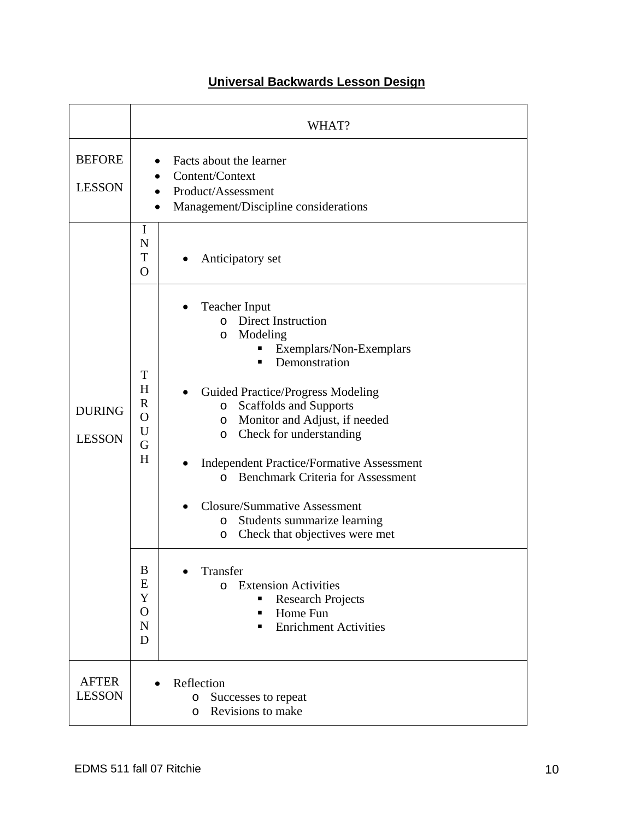|                                | WHAT?                                                                                                                                                                                                                                                                                                                                                                                                                                                                                                                                                                                                                                                                                                                                                                              |  |  |  |
|--------------------------------|------------------------------------------------------------------------------------------------------------------------------------------------------------------------------------------------------------------------------------------------------------------------------------------------------------------------------------------------------------------------------------------------------------------------------------------------------------------------------------------------------------------------------------------------------------------------------------------------------------------------------------------------------------------------------------------------------------------------------------------------------------------------------------|--|--|--|
| <b>BEFORE</b><br><b>LESSON</b> | Facts about the learner<br>Content/Context<br>Product/Assessment<br>Management/Discipline considerations                                                                                                                                                                                                                                                                                                                                                                                                                                                                                                                                                                                                                                                                           |  |  |  |
|                                | I<br>N<br>T<br>Anticipatory set<br>$\Omega$                                                                                                                                                                                                                                                                                                                                                                                                                                                                                                                                                                                                                                                                                                                                        |  |  |  |
| <b>DURING</b><br><b>LESSON</b> | <b>Teacher Input</b><br><b>Direct Instruction</b><br>$\Omega$<br>Modeling<br>$\circ$<br>Exemplars/Non-Exemplars<br>Ξ<br>Demonstration<br>T<br>H<br>Guided Practice/Progress Modeling<br>$\mathbf R$<br>Scaffolds and Supports<br>$\circ$<br>$\mathbf O$<br>Monitor and Adjust, if needed<br>$\circ$<br>U<br>Check for understanding<br>$\circ$<br>G<br>H<br><b>Independent Practice/Formative Assessment</b><br><b>Benchmark Criteria for Assessment</b><br>$\Omega$<br><b>Closure/Summative Assessment</b><br>Students summarize learning<br>$\circ$<br>Check that objectives were met<br>O<br>Transfer<br>B<br>E<br><b>Extension Activities</b><br>$\Omega$<br>Y<br><b>Research Projects</b><br>$\mathbf O$<br>Home Fun<br>$\mathbf N$<br><b>Enrichment Activities</b><br>٠<br>D |  |  |  |
| <b>AFTER</b><br><b>LESSON</b>  | Reflection<br>$\bullet$<br>Successes to repeat<br>O<br>Revisions to make<br>O                                                                                                                                                                                                                                                                                                                                                                                                                                                                                                                                                                                                                                                                                                      |  |  |  |

## **Universal Backwards Lesson Design**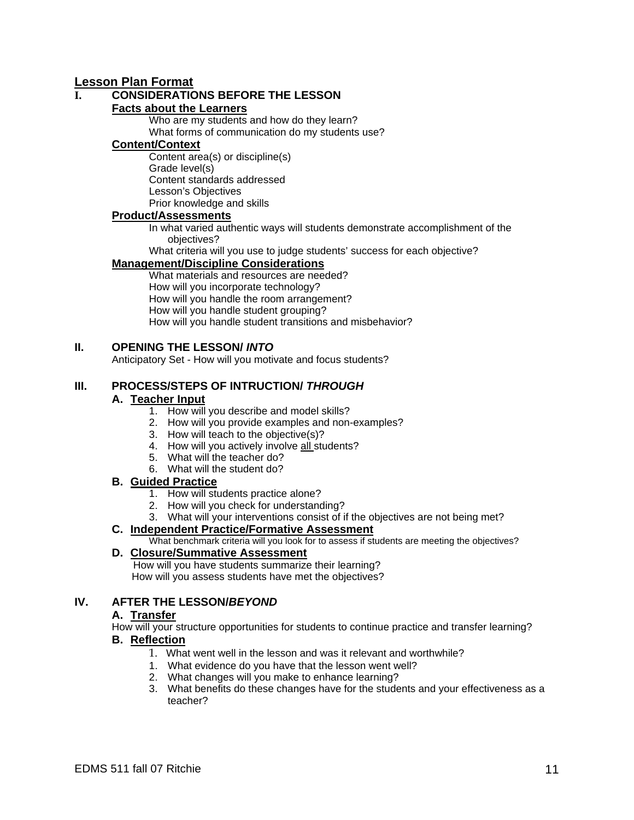## **Lesson Plan Format**

## **I. CONSIDERATIONS BEFORE THE LESSON**

#### **Facts about the Learners**

Who are my students and how do they learn? What forms of communication do my students use?

#### **Content/Context**

Content area(s) or discipline(s) Grade level(s) Content standards addressed Lesson's Objectives Prior knowledge and skills

#### **Product/Assessments**

In what varied authentic ways will students demonstrate accomplishment of the objectives?

What criteria will you use to judge students' success for each objective?

#### **Management/Discipline Considerations**

What materials and resources are needed? How will you incorporate technology? How will you handle the room arrangement? How will you handle student grouping? How will you handle student transitions and misbehavior?

#### **II. OPENING THE LESSON/** *INTO*

Anticipatory Set - How will you motivate and focus students?

#### **III. PROCESS/STEPS OF INTRUCTION/** *THROUGH*

#### **A. Teacher Input**

- 1. How will you describe and model skills?
- 2. How will you provide examples and non-examples?
- 3. How will teach to the objective(s)?
- 4. How will you actively involve all students?
- 5. What will the teacher do?
- 6. What will the student do?

#### **B. Guided Practice**

- 1. How will students practice alone?
- 2. How will you check for understanding?
- 3. What will your interventions consist of if the objectives are not being met?

## **C. Independent Practice/Formative Assessment**

What benchmark criteria will you look for to assess if students are meeting the objectives?

#### **D. Closure/Summative Assessment**

 How will you have students summarize their learning? How will you assess students have met the objectives?

### **IV. AFTER THE LESSON/***BEYOND*

#### **A. Transfer**

How will your structure opportunities for students to continue practice and transfer learning?

#### **B. Reflection**

- 1. What went well in the lesson and was it relevant and worthwhile?
- 1. What evidence do you have that the lesson went well?
- 2. What changes will you make to enhance learning?
- 3. What benefits do these changes have for the students and your effectiveness as a teacher?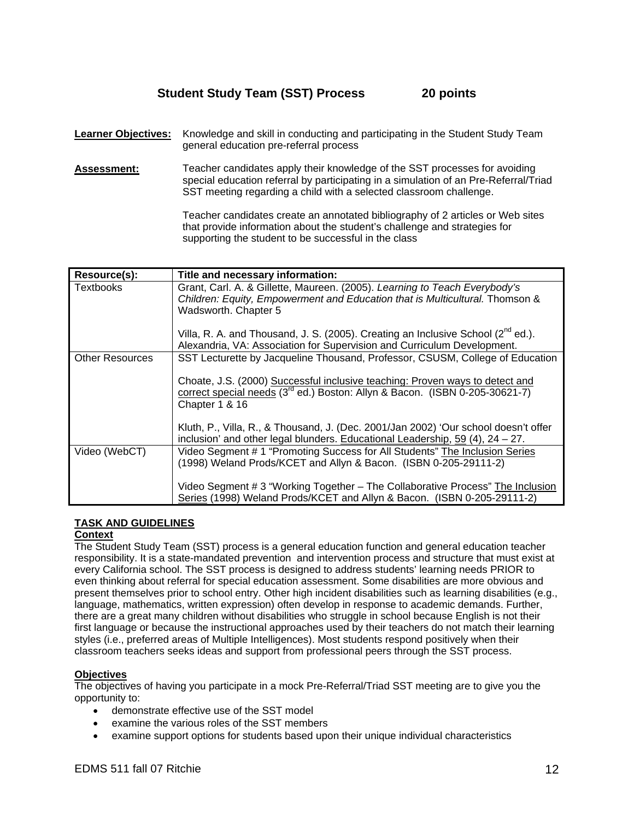## **Student Study Team (SST) Process 20 points**

- **Learner Objectives:** Knowledge and skill in conducting and participating in the Student Study Team general education pre-referral process
- **Assessment:** Teacher candidates apply their knowledge of the SST processes for avoiding special education referral by participating in a simulation of an Pre-Referral/Triad SST meeting regarding a child with a selected classroom challenge.

Teacher candidates create an annotated bibliography of 2 articles or Web sites that provide information about the student's challenge and strategies for supporting the student to be successful in the class

| Resource(s):           | Title and necessary information:                                                        |  |  |  |
|------------------------|-----------------------------------------------------------------------------------------|--|--|--|
| Textbooks              | Grant, Carl. A. & Gillette, Maureen. (2005). Learning to Teach Everybody's              |  |  |  |
|                        | Children: Equity, Empowerment and Education that is Multicultural. Thomson &            |  |  |  |
|                        | Wadsworth. Chapter 5                                                                    |  |  |  |
|                        |                                                                                         |  |  |  |
|                        | Villa, R. A. and Thousand, J. S. (2005). Creating an Inclusive School ( $2^{nd}$ ed.).  |  |  |  |
|                        |                                                                                         |  |  |  |
|                        | Alexandria, VA: Association for Supervision and Curriculum Development.                 |  |  |  |
| <b>Other Resources</b> | SST Lecturette by Jacqueline Thousand, Professor, CSUSM, College of Education           |  |  |  |
|                        |                                                                                         |  |  |  |
|                        | Choate, J.S. (2000) Successful inclusive teaching: Proven ways to detect and            |  |  |  |
|                        | correct special needs (3 <sup>rd</sup> ed.) Boston: Allyn & Bacon. (ISBN 0-205-30621-7) |  |  |  |
|                        | Chapter 1 & 16                                                                          |  |  |  |
|                        |                                                                                         |  |  |  |
|                        |                                                                                         |  |  |  |
|                        | Kluth, P., Villa, R., & Thousand, J. (Dec. 2001/Jan 2002) 'Our school doesn't offer     |  |  |  |
|                        | inclusion' and other legal blunders. Educational Leadership, 59 (4), 24 - 27.           |  |  |  |
| Video (WebCT)          | Video Segment #1 "Promoting Success for All Students" The Inclusion Series              |  |  |  |
|                        | (1998) Weland Prods/KCET and Allyn & Bacon. (ISBN 0-205-29111-2)                        |  |  |  |
|                        |                                                                                         |  |  |  |
|                        | Video Segment # 3 "Working Together - The Collaborative Process" The Inclusion          |  |  |  |
|                        |                                                                                         |  |  |  |
|                        | Series (1998) Weland Prods/KCET and Allyn & Bacon. (ISBN 0-205-29111-2)                 |  |  |  |

#### **TASK AND GUIDELINES**

#### **Context**

The Student Study Team (SST) process is a general education function and general education teacher responsibility. It is a state-mandated prevention and intervention process and structure that must exist at every California school. The SST process is designed to address students' learning needs PRIOR to even thinking about referral for special education assessment. Some disabilities are more obvious and present themselves prior to school entry. Other high incident disabilities such as learning disabilities (e.g., language, mathematics, written expression) often develop in response to academic demands. Further, there are a great many children without disabilities who struggle in school because English is not their first language or because the instructional approaches used by their teachers do not match their learning styles (i.e., preferred areas of Multiple Intelligences). Most students respond positively when their classroom teachers seeks ideas and support from professional peers through the SST process.

#### **Objectives**

The objectives of having you participate in a mock Pre-Referral/Triad SST meeting are to give you the opportunity to:

- demonstrate effective use of the SST model
- examine the various roles of the SST members
- examine support options for students based upon their unique individual characteristics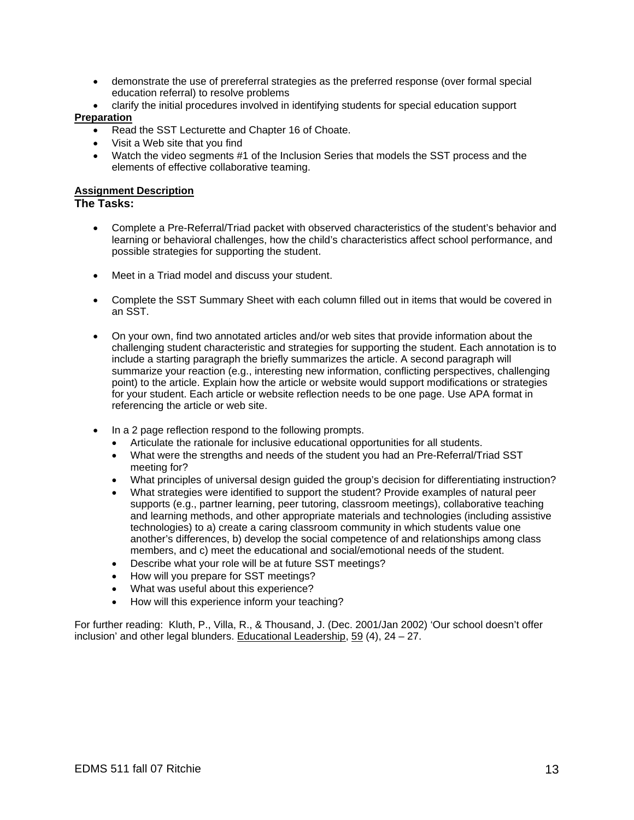- demonstrate the use of prereferral strategies as the preferred response (over formal special education referral) to resolve problems
- clarify the initial procedures involved in identifying students for special education support **Preparation**
	- Read the SST Lecturette and Chapter 16 of Choate.
	- Visit a Web site that you find
	- Watch the video segments #1 of the Inclusion Series that models the SST process and the elements of effective collaborative teaming.

#### **Assignment Description**

#### **The Tasks:**

- Complete a Pre-Referral/Triad packet with observed characteristics of the student's behavior and learning or behavioral challenges, how the child's characteristics affect school performance, and possible strategies for supporting the student.
- Meet in a Triad model and discuss your student.
- Complete the SST Summary Sheet with each column filled out in items that would be covered in an SST.
- On your own, find two annotated articles and/or web sites that provide information about the challenging student characteristic and strategies for supporting the student. Each annotation is to include a starting paragraph the briefly summarizes the article. A second paragraph will summarize your reaction (e.g., interesting new information, conflicting perspectives, challenging point) to the article. Explain how the article or website would support modifications or strategies for your student. Each article or website reflection needs to be one page. Use APA format in referencing the article or web site.
- In a 2 page reflection respond to the following prompts.
	- Articulate the rationale for inclusive educational opportunities for all students.
	- What were the strengths and needs of the student you had an Pre-Referral/Triad SST meeting for?
	- What principles of universal design guided the group's decision for differentiating instruction?
	- What strategies were identified to support the student? Provide examples of natural peer supports (e.g., partner learning, peer tutoring, classroom meetings), collaborative teaching and learning methods, and other appropriate materials and technologies (including assistive technologies) to a) create a caring classroom community in which students value one another's differences, b) develop the social competence of and relationships among class members, and c) meet the educational and social/emotional needs of the student.
	- Describe what your role will be at future SST meetings?
	- How will you prepare for SST meetings?
	- What was useful about this experience?
	- How will this experience inform your teaching?

For further reading: Kluth, P., Villa, R., & Thousand, J. (Dec. 2001/Jan 2002) 'Our school doesn't offer inclusion' and other legal blunders. Educational Leadership, 59 (4), 24 – 27.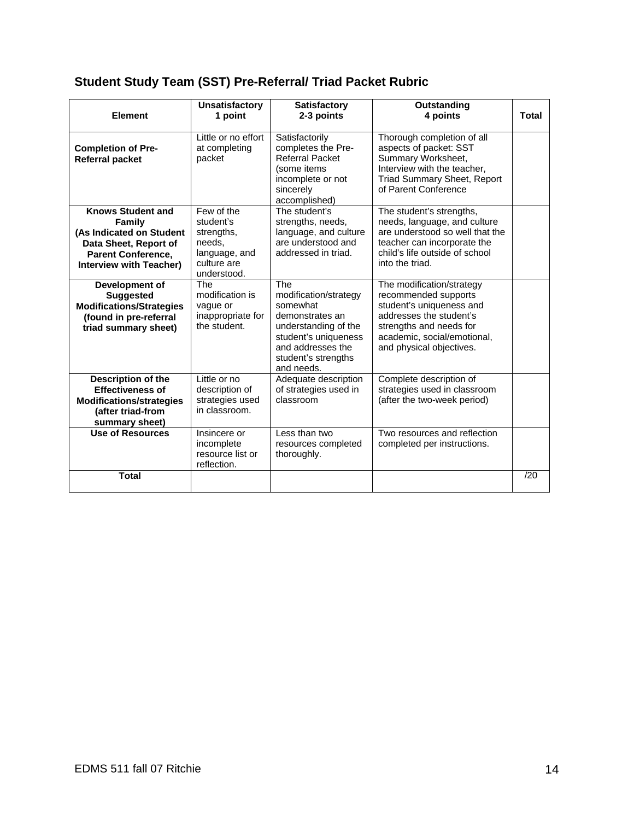# **Student Study Team (SST) Pre-Referral/ Triad Packet Rubric**

| <b>Element</b>                                                                                                                                                | <b>Unsatisfactory</b><br>1 point                                                               | <b>Satisfactory</b><br>2-3 points                                                                                                                                     | Outstanding<br>4 points                                                                                                                                                                        | <b>Total</b> |
|---------------------------------------------------------------------------------------------------------------------------------------------------------------|------------------------------------------------------------------------------------------------|-----------------------------------------------------------------------------------------------------------------------------------------------------------------------|------------------------------------------------------------------------------------------------------------------------------------------------------------------------------------------------|--------------|
| <b>Completion of Pre-</b><br><b>Referral packet</b>                                                                                                           | Little or no effort<br>at completing<br>packet                                                 | Satisfactorily<br>completes the Pre-<br><b>Referral Packet</b><br>(some items<br>incomplete or not<br>sincerely<br>accomplished)                                      | Thorough completion of all<br>aspects of packet: SST<br>Summary Worksheet,<br>Interview with the teacher,<br><b>Triad Summary Sheet, Report</b><br>of Parent Conference                        |              |
| <b>Knows Student and</b><br><b>Family</b><br>(As Indicated on Student<br>Data Sheet, Report of<br><b>Parent Conference,</b><br><b>Interview with Teacher)</b> | Few of the<br>student's<br>strengths,<br>needs.<br>language, and<br>culture are<br>understood. | The student's<br>strengths, needs,<br>language, and culture<br>are understood and<br>addressed in triad.                                                              | The student's strengths,<br>needs, language, and culture<br>are understood so well that the<br>teacher can incorporate the<br>child's life outside of school<br>into the triad.                |              |
| Development of<br><b>Suggested</b><br><b>Modifications/Strategies</b><br>(found in pre-referral<br>triad summary sheet)                                       | <b>The</b><br>modification is<br>vague or<br>inappropriate for<br>the student.                 | The<br>modification/strategy<br>somewhat<br>demonstrates an<br>understanding of the<br>student's uniqueness<br>and addresses the<br>student's strengths<br>and needs. | The modification/strategy<br>recommended supports<br>student's uniqueness and<br>addresses the student's<br>strengths and needs for<br>academic, social/emotional,<br>and physical objectives. |              |
| Description of the<br><b>Effectiveness of</b><br><b>Modifications/strategies</b><br>(after triad-from<br>summary sheet)                                       | Little or no<br>description of<br>strategies used<br>in classroom.                             | Adequate description<br>of strategies used in<br>classroom                                                                                                            | Complete description of<br>strategies used in classroom<br>(after the two-week period)                                                                                                         |              |
| <b>Use of Resources</b>                                                                                                                                       | Insincere or<br>incomplete<br>resource list or<br>reflection.                                  | Less than two<br>resources completed<br>thoroughly.                                                                                                                   | Two resources and reflection<br>completed per instructions.                                                                                                                                    |              |
| <b>Total</b>                                                                                                                                                  |                                                                                                |                                                                                                                                                                       |                                                                                                                                                                                                | /20          |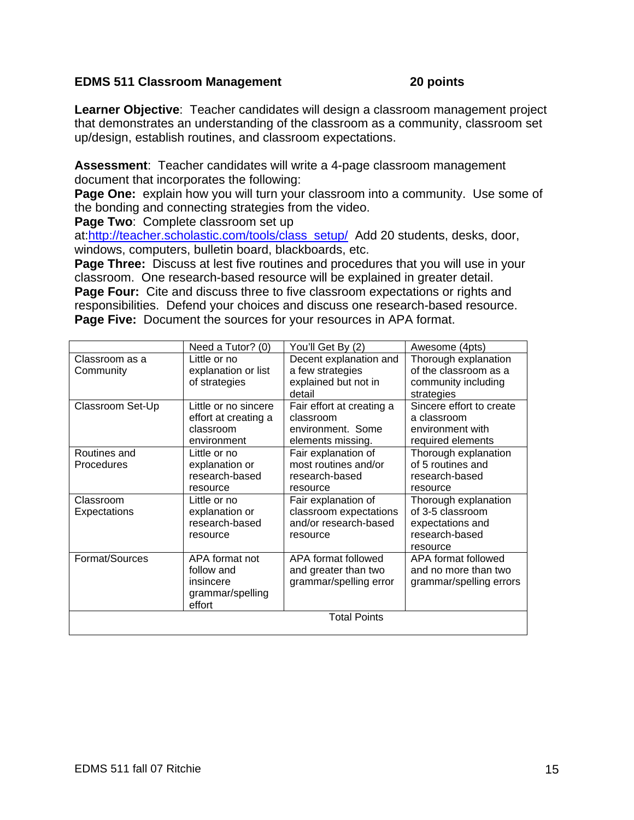## **EDMS 511 Classroom Management 20 points**

**Learner Objective**: Teacher candidates will design a classroom management project that demonstrates an understanding of the classroom as a community, classroom set up/design, establish routines, and classroom expectations.

**Assessment**: Teacher candidates will write a 4-page classroom management document that incorporates the following:

**Page One:** explain how you will turn your classroom into a community. Use some of the bonding and connecting strategies from the video.

**Page Two**: Complete classroom set up

at:http://teacher.scholastic.com/tools/class\_setup/ Add 20 students, desks, door, windows, computers, bulletin board, blackboards, etc.

**Page Three:** Discuss at lest five routines and procedures that you will use in your classroom. One research-based resource will be explained in greater detail. **Page Four:** Cite and discuss three to five classroom expectations or rights and responsibilities. Defend your choices and discuss one research-based resource. **Page Five:** Document the sources for your resources in APA format.

|                     | Need a Tutor? (0)    | You'll Get By (2)         | Awesome (4pts)           |
|---------------------|----------------------|---------------------------|--------------------------|
| Classroom as a      | Little or no         | Decent explanation and    | Thorough explanation     |
| Community           | explanation or list  | a few strategies          | of the classroom as a    |
|                     | of strategies        | explained but not in      | community including      |
|                     |                      | detail                    | strategies               |
| Classroom Set-Up    | Little or no sincere | Fair effort at creating a | Sincere effort to create |
|                     | effort at creating a | classroom                 | a classroom              |
|                     | classroom            | environment. Some         | environment with         |
|                     | environment          | elements missing.         | required elements        |
| Routines and        | Little or no         | Fair explanation of       | Thorough explanation     |
| <b>Procedures</b>   | explanation or       | most routines and/or      | of 5 routines and        |
|                     | research-based       | research-based            | research-based           |
|                     | resource             | resource                  | resource                 |
| Classroom           | Little or no         | Fair explanation of       | Thorough explanation     |
| Expectations        | explanation or       | classroom expectations    | of 3-5 classroom         |
|                     | research-based       | and/or research-based     | expectations and         |
|                     | resource             | resource                  | research-based           |
|                     |                      |                           | resource                 |
| Format/Sources      | APA format not       | APA format followed       | APA format followed      |
|                     | follow and           | and greater than two      | and no more than two     |
|                     | insincere            | grammar/spelling error    | grammar/spelling errors  |
|                     | grammar/spelling     |                           |                          |
|                     | effort               |                           |                          |
| <b>Total Points</b> |                      |                           |                          |
|                     |                      |                           |                          |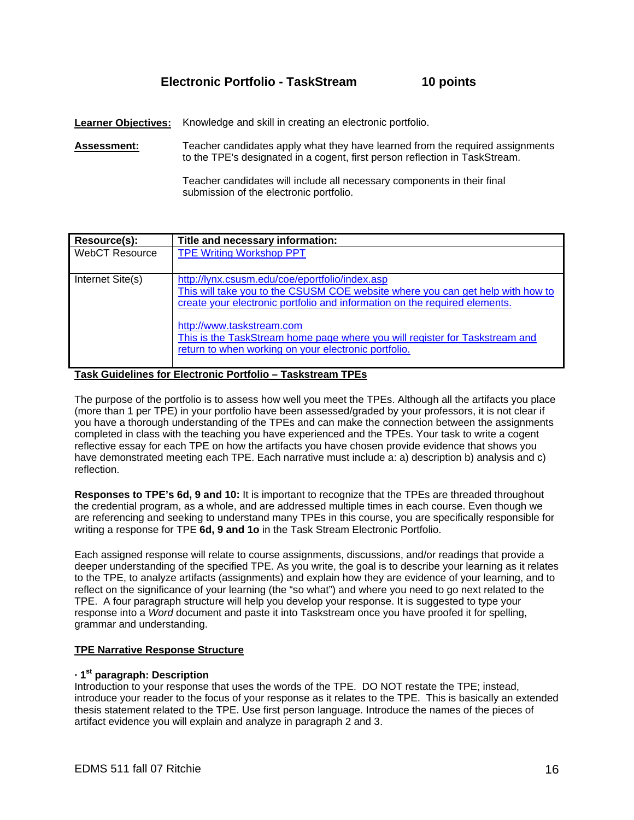## **Electronic Portfolio - TaskStream 10 points**

Learner Objectives: Knowledge and skill in creating an electronic portfolio.

**Assessment:** Teacher candidates apply what they have learned from the required assignments to the TPE's designated in a cogent, first person reflection in TaskStream.

> Teacher candidates will include all necessary components in their final submission of the electronic portfolio.

| Resource(s):          | Title and necessary information:                                                                                                                                 |  |  |
|-----------------------|------------------------------------------------------------------------------------------------------------------------------------------------------------------|--|--|
| <b>WebCT Resource</b> | <b>TPE Writing Workshop PPT</b>                                                                                                                                  |  |  |
|                       |                                                                                                                                                                  |  |  |
| Internet Site(s)      | http://lynx.csusm.edu/coe/eportfolio/index.asp                                                                                                                   |  |  |
|                       | This will take you to the CSUSM COE website where you can get help with how to                                                                                   |  |  |
|                       | create your electronic portfolio and information on the required elements.                                                                                       |  |  |
|                       | http://www.taskstream.com<br>This is the TaskStream home page where you will register for Taskstream and<br>return to when working on your electronic portfolio. |  |  |

**Task Guidelines for Electronic Portfolio – Taskstream TPEs**

The purpose of the portfolio is to assess how well you meet the TPEs. Although all the artifacts you place (more than 1 per TPE) in your portfolio have been assessed/graded by your professors, it is not clear if you have a thorough understanding of the TPEs and can make the connection between the assignments completed in class with the teaching you have experienced and the TPEs. Your task to write a cogent reflective essay for each TPE on how the artifacts you have chosen provide evidence that shows you have demonstrated meeting each TPE. Each narrative must include a: a) description b) analysis and c) reflection.

**Responses to TPE's 6d, 9 and 10:** It is important to recognize that the TPEs are threaded throughout the credential program, as a whole, and are addressed multiple times in each course. Even though we are referencing and seeking to understand many TPEs in this course, you are specifically responsible for writing a response for TPE **6d, 9 and 1o** in the Task Stream Electronic Portfolio.

Each assigned response will relate to course assignments, discussions, and/or readings that provide a deeper understanding of the specified TPE. As you write, the goal is to describe your learning as it relates to the TPE, to analyze artifacts (assignments) and explain how they are evidence of your learning, and to reflect on the significance of your learning (the "so what") and where you need to go next related to the TPE. A four paragraph structure will help you develop your response. It is suggested to type your response into a *Word* document and paste it into Taskstream once you have proofed it for spelling, grammar and understanding.

#### **TPE Narrative Response Structure**

#### **· 1st paragraph: Description**

Introduction to your response that uses the words of the TPE. DO NOT restate the TPE; instead, introduce your reader to the focus of your response as it relates to the TPE. This is basically an extended thesis statement related to the TPE. Use first person language. Introduce the names of the pieces of artifact evidence you will explain and analyze in paragraph 2 and 3.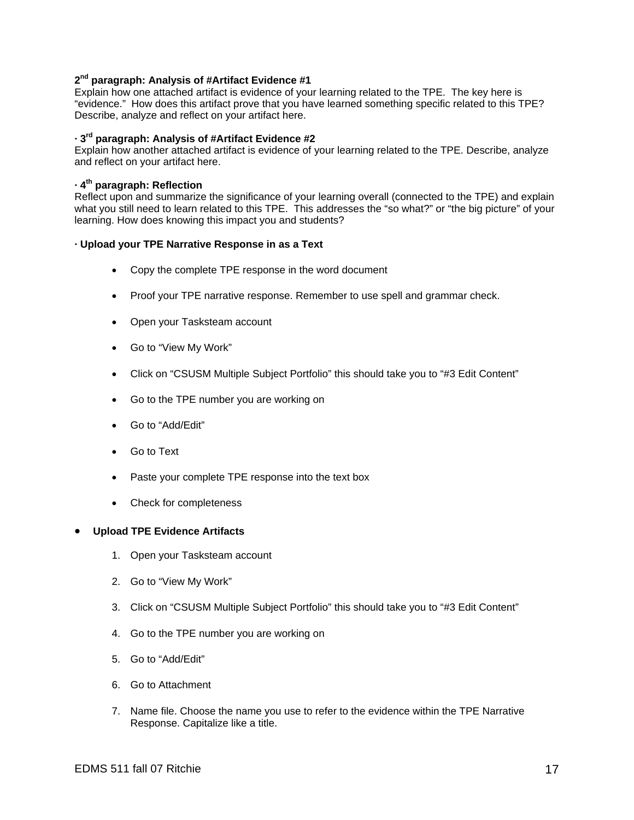#### **2nd paragraph: Analysis of #Artifact Evidence #1**

Explain how one attached artifact is evidence of your learning related to the TPE. The key here is "evidence." How does this artifact prove that you have learned something specific related to this TPE? Describe, analyze and reflect on your artifact here.

#### **· 3rd paragraph: Analysis of #Artifact Evidence #2**

Explain how another attached artifact is evidence of your learning related to the TPE. Describe, analyze and reflect on your artifact here.

#### **· 4th paragraph: Reflection**

Reflect upon and summarize the significance of your learning overall (connected to the TPE) and explain what you still need to learn related to this TPE. This addresses the "so what?" or "the big picture" of your learning. How does knowing this impact you and students?

#### **· Upload your TPE Narrative Response in as a Text**

- Copy the complete TPE response in the word document
- Proof your TPE narrative response. Remember to use spell and grammar check.
- Open your Tasksteam account
- Go to "View My Work"
- Click on "CSUSM Multiple Subject Portfolio" this should take you to "#3 Edit Content"
- Go to the TPE number you are working on
- Go to "Add/Edit"
- Go to Text
- Paste your complete TPE response into the text box
- Check for completeness

#### • **Upload TPE Evidence Artifacts**

- 1. Open your Tasksteam account
- 2. Go to "View My Work"
- 3. Click on "CSUSM Multiple Subject Portfolio" this should take you to "#3 Edit Content"
- 4. Go to the TPE number you are working on
- 5. Go to "Add/Edit"
- 6. Go to Attachment
- 7. Name file. Choose the name you use to refer to the evidence within the TPE Narrative Response. Capitalize like a title.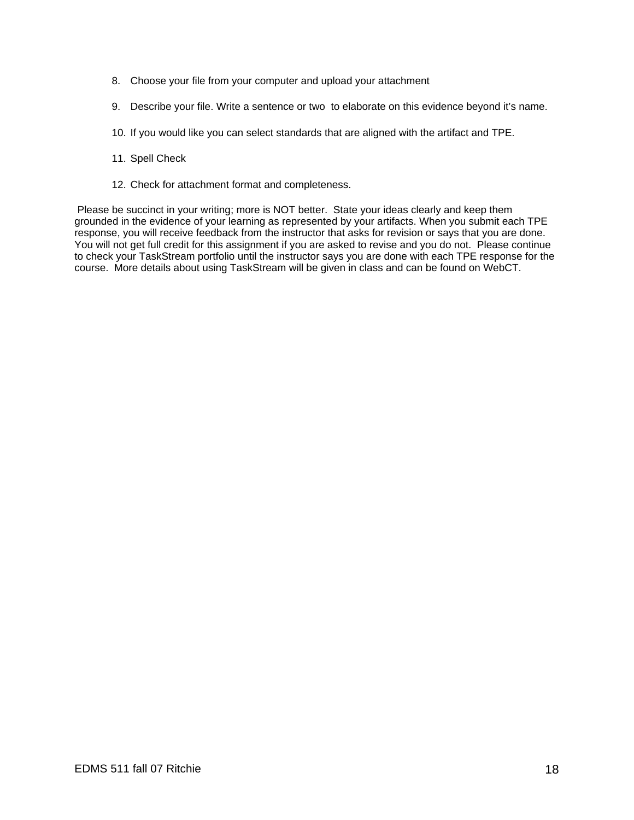- 8. Choose your file from your computer and upload your attachment
- 9. Describe your file. Write a sentence or two to elaborate on this evidence beyond it's name.
- 10. If you would like you can select standards that are aligned with the artifact and TPE.
- 11. Spell Check
- 12. Check for attachment format and completeness.

 Please be succinct in your writing; more is NOT better. State your ideas clearly and keep them grounded in the evidence of your learning as represented by your artifacts. When you submit each TPE response, you will receive feedback from the instructor that asks for revision or says that you are done. You will not get full credit for this assignment if you are asked to revise and you do not. Please continue to check your TaskStream portfolio until the instructor says you are done with each TPE response for the course. More details about using TaskStream will be given in class and can be found on WebCT.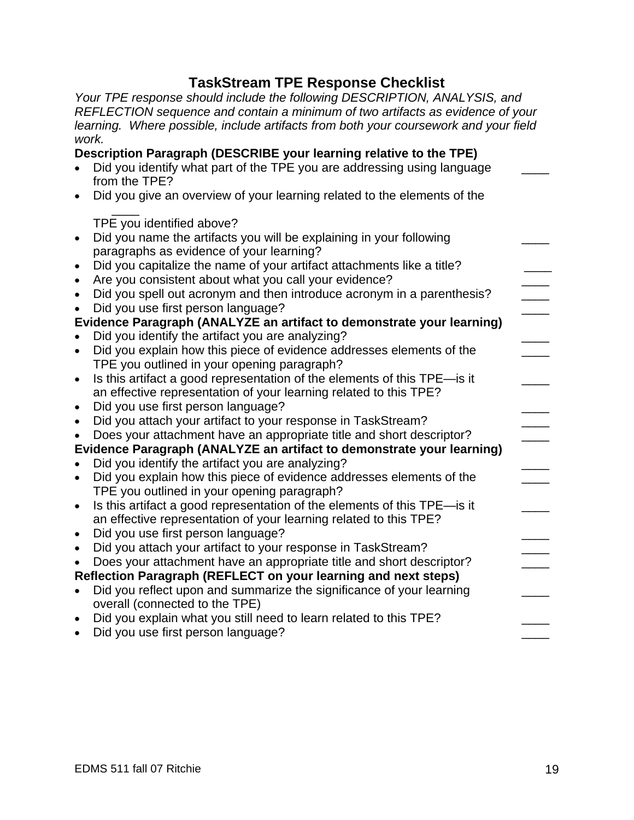# **TaskStream TPE Response Checklist**

*Your TPE response should include the following DESCRIPTION, ANALYSIS, and REFLECTION sequence and contain a minimum of two artifacts as evidence of your learning. Where possible, include artifacts from both your coursework and your field work.*  **Description Paragraph (DESCRIBE your learning relative to the TPE)** 

|                        | Description Paragraph (DESCRIBE your learning relative to the TPE)<br>Did you identify what part of the TPE you are addressing using language |  |
|------------------------|-----------------------------------------------------------------------------------------------------------------------------------------------|--|
|                        | from the TPE?<br>Did you give an overview of your learning related to the elements of the                                                     |  |
|                        | TPE you identified above?                                                                                                                     |  |
|                        | Did you name the artifacts you will be explaining in your following<br>paragraphs as evidence of your learning?                               |  |
|                        | Did you capitalize the name of your artifact attachments like a title?                                                                        |  |
|                        | Are you consistent about what you call your evidence?<br>Did you spell out acronym and then introduce acronym in a parenthesis?               |  |
|                        | Did you use first person language?                                                                                                            |  |
|                        | Evidence Paragraph (ANALYZE an artifact to demonstrate your learning)<br>Did you identify the artifact you are analyzing?                     |  |
|                        | Did you explain how this piece of evidence addresses elements of the                                                                          |  |
| $\bullet$              | TPE you outlined in your opening paragraph?<br>Is this artifact a good representation of the elements of this TPE-is it                       |  |
|                        | an effective representation of your learning related to this TPE?<br>Did you use first person language?                                       |  |
| $\bullet$<br>$\bullet$ | Did you attach your artifact to your response in TaskStream?                                                                                  |  |
|                        | Does your attachment have an appropriate title and short descriptor?<br>Evidence Paragraph (ANALYZE an artifact to demonstrate your learning) |  |
|                        | Did you identify the artifact you are analyzing?                                                                                              |  |
| $\bullet$              | Did you explain how this piece of evidence addresses elements of the<br>TPE you outlined in your opening paragraph?                           |  |
| $\bullet$              | Is this artifact a good representation of the elements of this TPE-is it                                                                      |  |
| $\bullet$              | an effective representation of your learning related to this TPE?<br>Did you use first person language?                                       |  |
| $\bullet$              | Did you attach your artifact to your response in TaskStream?                                                                                  |  |
|                        | Does your attachment have an appropriate title and short descriptor?<br>Reflection Paragraph (REFLECT on your learning and next steps)        |  |
| $\bullet$              | Did you reflect upon and summarize the significance of your learning                                                                          |  |
| $\bullet$              | overall (connected to the TPE)<br>Did you explain what you still need to learn related to this TPE?                                           |  |
| $\bullet$              | Did you use first person language?                                                                                                            |  |
|                        |                                                                                                                                               |  |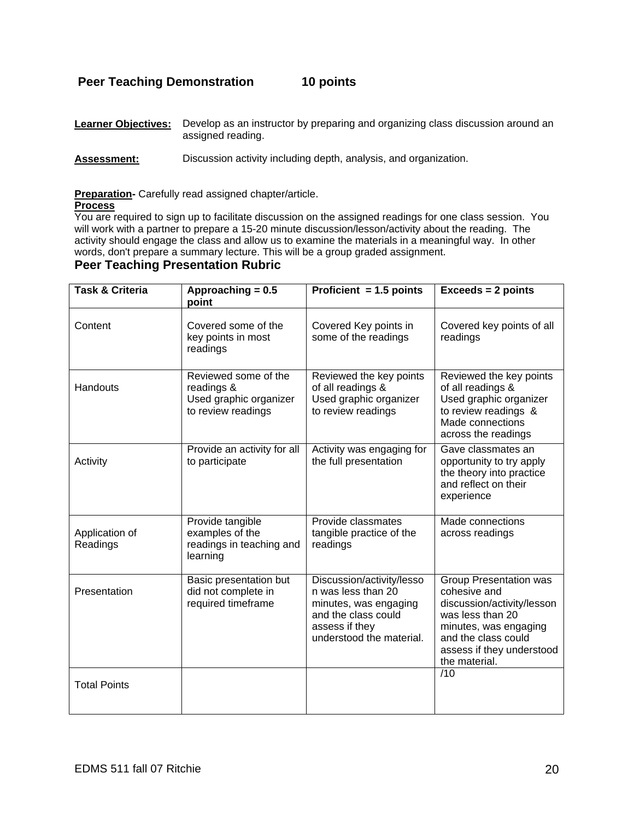## **Peer Teaching Demonstration 10 points**

| <b>Learner Objectives:</b> Develop as an instructor by preparing and organizing class discussion around an |
|------------------------------------------------------------------------------------------------------------|
| assigned reading.                                                                                          |

**Assessment:** Discussion activity including depth, analysis, and organization.

#### **Preparation-** Carefully read assigned chapter/article.

#### **Process**

You are required to sign up to facilitate discussion on the assigned readings for one class session. You will work with a partner to prepare a 15-20 minute discussion/lesson/activity about the reading. The activity should engage the class and allow us to examine the materials in a meaningful way. In other words, don't prepare a summary lecture. This will be a group graded assignment.

### **Peer Teaching Presentation Rubric**

| <b>Task &amp; Criteria</b> | Approaching = 0.5<br>point                                                         | Proficient $= 1.5$ points                                                                                                                     | $Exceeds = 2 points$                                                                                                                                                                          |
|----------------------------|------------------------------------------------------------------------------------|-----------------------------------------------------------------------------------------------------------------------------------------------|-----------------------------------------------------------------------------------------------------------------------------------------------------------------------------------------------|
| Content                    | Covered some of the<br>key points in most<br>readings                              | Covered Key points in<br>some of the readings                                                                                                 | Covered key points of all<br>readings                                                                                                                                                         |
| Handouts                   | Reviewed some of the<br>readings &<br>Used graphic organizer<br>to review readings | Reviewed the key points<br>of all readings &<br>Used graphic organizer<br>to review readings                                                  | Reviewed the key points<br>of all readings &<br>Used graphic organizer<br>to review readings &<br>Made connections<br>across the readings                                                     |
| Activity                   | Provide an activity for all<br>to participate                                      | Activity was engaging for<br>the full presentation                                                                                            | Gave classmates an<br>opportunity to try apply<br>the theory into practice<br>and reflect on their<br>experience                                                                              |
| Application of<br>Readings | Provide tangible<br>examples of the<br>readings in teaching and<br>learning        | Provide classmates<br>tangible practice of the<br>readings                                                                                    | Made connections<br>across readings                                                                                                                                                           |
| Presentation               | Basic presentation but<br>did not complete in<br>required timeframe                | Discussion/activity/lesso<br>n was less than 20<br>minutes, was engaging<br>and the class could<br>assess if they<br>understood the material. | <b>Group Presentation was</b><br>cohesive and<br>discussion/activity/lesson<br>was less than 20<br>minutes, was engaging<br>and the class could<br>assess if they understood<br>the material. |
| <b>Total Points</b>        |                                                                                    |                                                                                                                                               | /10                                                                                                                                                                                           |